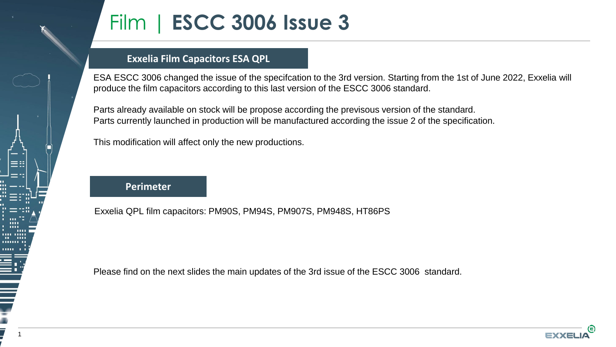

# Film | **ESCC 3006 Issue 3**

### **Exxelia Film Capacitors ESA QPL**

ESA ESCC 3006 changed the issue of the specifcation to the 3rd version. Starting from the 1st of June 2022, Exxelia will produce the film capacitors according to this last version of the ESCC 3006 standard.

Parts already available on stock will be propose according the previsous version of the standard. Parts currently launched in production will be manufactured according the issue 2 of the specification.

This modification will affect only the new productions.

**Perimeter**

Exxelia QPL film capacitors: PM90S, PM94S, PM907S, PM948S, HT86PS

Please find on the next slides the main updates of the 3rd issue of the ESCC 3006 standard.

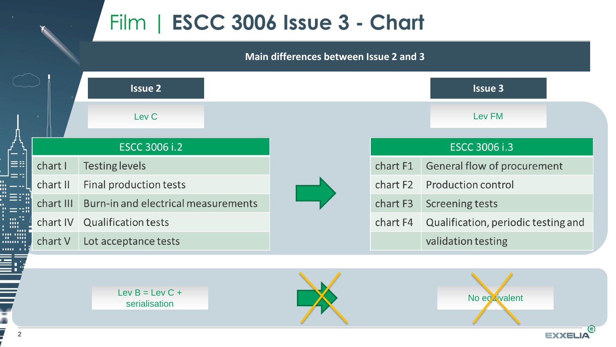## Film | **ESCC 3006 Issue 3 - Chart**

#### Quelle est la différence: **Main differences between Issue 2 and 3**

|                |                      | <b>Issue 2</b>                      |              | <b>Issue 3</b>                            |  |
|----------------|----------------------|-------------------------------------|--------------|-------------------------------------------|--|
|                |                      | Lev <sub>C</sub>                    |              | Lev FM                                    |  |
| $ \equiv$ ::1  | <b>ESCC 3006 i.2</b> |                                     |              | ESCC 3006 i.3                             |  |
|                | chart I              | <b>Testing levels</b>               | chart F1     | General flow of procurement               |  |
|                | chart II             | Final production tests              | chart F2     | <b>Production control</b>                 |  |
|                | chart III            | Burn-in and electrical measurements | chart F3     | <b>Screening tests</b>                    |  |
|                | chart IV             | <b>Qualification tests</b>          | chart F4     | Qualification, periodic testing and       |  |
|                | chart V              | Lot acceptance tests                |              | validation testing                        |  |
|                |                      |                                     |              |                                           |  |
|                |                      |                                     |              |                                           |  |
|                |                      | Lev $B = Lev C +$<br>serialisation  | No egavalent |                                           |  |
|                |                      |                                     |              |                                           |  |
| $\overline{2}$ |                      |                                     |              | $\overline{\mathbf{e}}$<br><b>EXXELIA</b> |  |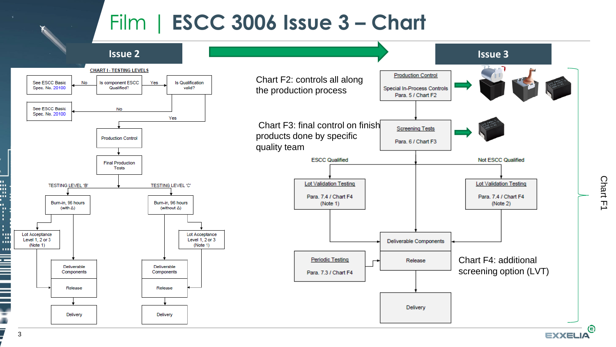### Film | **ESCC 3006 Issue 3 – Chart**



**EXXELIA** 

W.

ш

ú.

п. ŧ. t

w

1111

 $\frac{1}{2}$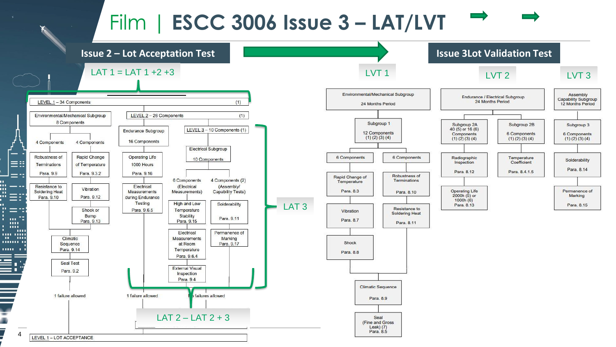## Film | **ESCC 3006 Issue 3 – LAT/LVT**